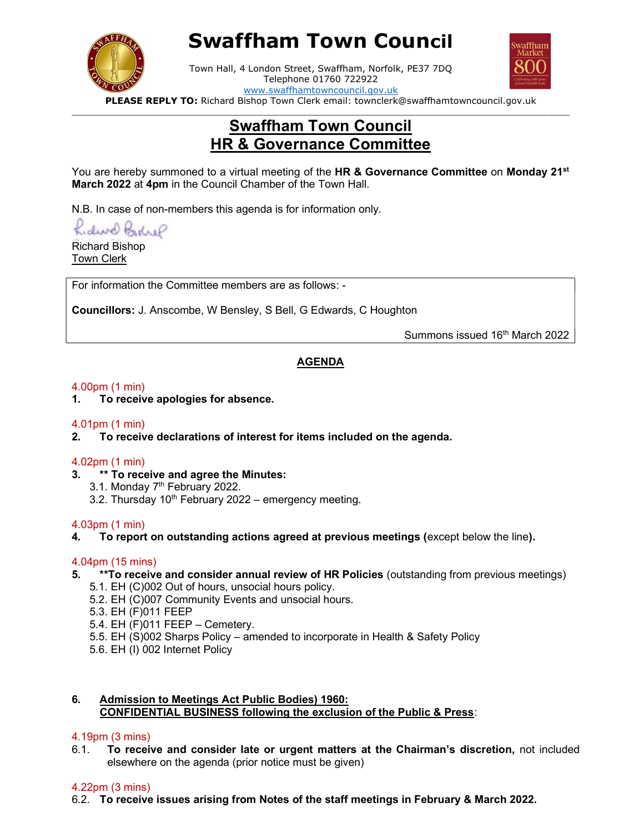

# Swaffham Town Council



Town Hall, 4 London Street, Swaffham, Norfolk, PE37 7DQ Telephone 01760 722922 www.swaffhamtowncouncil.gov.uk

PLEASE REPLY TO: Richard Bishop Town Clerk email: townclerk@swaffhamtowncouncil.gov.uk  $\Box$ 

# Swaffham Town Council HR & Governance Committee

You are hereby summoned to a virtual meeting of the HR & Governance Committee on Monday 21<sup>st</sup> March 2022 at 4pm in the Council Chamber of the Town Hall.

N.B. In case of non-members this agenda is for information only.

Kidwel Bohre

Richard Bishop Town Clerk

For information the Committee members are as follows: -

Councillors: J. Anscombe, W Bensley, S Bell, G Edwards, C Houghton

Summons issued 16<sup>th</sup> March 2022

# AGENDA

# 4.00pm (1 min)

1. To receive apologies for absence.

# 4.01pm (1 min)

2. To receive declarations of interest for items included on the agenda.

# 4.02pm (1 min)

- 3. \*\* To receive and agree the Minutes:
	- 3.1. Monday 7<sup>th</sup> February 2022.
	- 3.2. Thursday  $10^{th}$  February 2022 emergency meeting.

# 4.03pm (1 min)

4. To report on outstanding actions agreed at previous meetings (except below the line).

# 4.04pm (15 mins)

- 5. \*\*To receive and consider annual review of HR Policies (outstanding from previous meetings)
	- 5.1. EH (C)002 Out of hours, unsocial hours policy.
	- 5.2. EH (C)007 Community Events and unsocial hours.
	- 5.3. EH (F)011 FEEP
	- 5.4. EH (F)011 FEEP Cemetery.
	- 5.5. EH (S)002 Sharps Policy amended to incorporate in Health & Safety Policy
	- 5.6. EH (I) 002 Internet Policy

# 6. Admission to Meetings Act Public Bodies) 1960: CONFIDENTIAL BUSINESS following the exclusion of the Public & Press:

# 4.19pm (3 mins)

6.1. To receive and consider late or urgent matters at the Chairman's discretion, not included elsewhere on the agenda (prior notice must be given)

# 4.22pm (3 mins)

6.2. To receive issues arising from Notes of the staff meetings in February & March 2022.